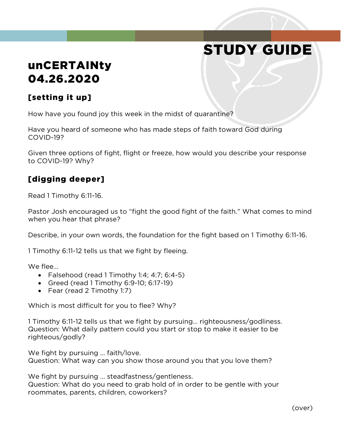# STUDY GUIDE

## unCERTAINty 04.26.2020

### [setting it up]

How have you found joy this week in the midst of quarantine?

Have you heard of someone who has made steps of faith toward God during COVID-19?

Given three options of fight, flight or freeze, how would you describe your response to COVID-19? Why?

#### [digging deeper]

Read 1 Timothy 6:11-16.

Pastor Josh encouraged us to "fight the good fight of the faith." What comes to mind when you hear that phrase?

Describe, in your own words, the foundation for the fight based on 1 Timothy 6:11-16.

1 Timothy 6:11-12 tells us that we fight by fleeing.

We flee…

- Falsehood (read 1 Timothy 1:4; 4:7; 6:4-5)
- Greed (read 1 Timothy 6:9-10; 6:17-19)
- Fear (read 2 Timothy 1:7)

Which is most difficult for you to flee? Why?

1 Timothy 6:11-12 tells us that we fight by pursuing… righteousness/godliness. Question: What daily pattern could you start or stop to make it easier to be righteous/godly?

We fight by pursuing … faith/love. Question: What way can you show those around you that you love them?

We fight by pursuing … steadfastness/gentleness.

Question: What do you need to grab hold of in order to be gentle with your roommates, parents, children, coworkers?